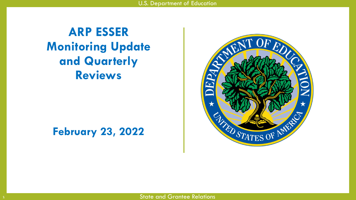# **ARP ESSER Monitoring Update and Quarterly Reviews**

**February 23, 2022**

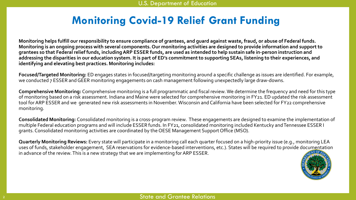## **Monitoring Covid-19 Relief Grant Funding**

**Monitoring helps fulfill our responsibility to ensure compliance of grantees, and guard against waste, fraud, or abuse of Federal funds. Monitoring is an ongoing process with several components. Our monitoring activities are designed to provide information and support to grantees so that Federal relief funds, including ARP ESSER funds, are used as intended to help sustain safe in-person instruction and addressing the disparities in our education system. It is part of ED's commitment to supporting SEAs, listening to their experiences, and identifying and elevating best practices. Monitoring includes:**

**Focused/Targeted Monitoring:** ED engages states in focused/targeting monitoring around a specific challenge as issues are identified. For example, we conducted 7 ESSER and GEER monitoring engagements on cash management following unexpectedly large draw-downs.

**Comprehensive Monitoring:** Comprehensive monitoring is a full programmatic and fiscal review. We determine the frequency and need for this type of monitoring based on a risk assessment. Indiana and Maine were selected for comprehensive monitoring in FY21. ED updated the risk assessment tool for ARP ESSER and we generated new risk assessments in November. Wisconsin and California have been selected for FY22 comprehensive monitoring.

**Consolidated Monitoring:** Consolidated monitoring is a cross-program review. These engagements are designed to examine the implementation of multiple Federal education programs and will include ESSER funds. In FY21, consolidated monitoring included Kentucky and Tennessee ESSER I grants. Consolidated monitoring activities are coordinated by the OESE Management Support Office (MSO).

**Quarterly Monitoring Reviews:** Every state will participate in a monitoring call each quarter focused on a high-priority issue (e.g., monitoring LEA uses of funds, stakeholder engagement, SEA reservations for evidence-based interventions, etc.). States will be required to provide documentation in advance of the review. This is a new strategy that we are implementing for ARP ESSER.

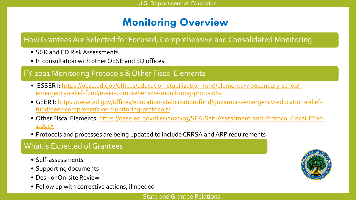# **Monitoring Overview**

#### How Grantees Are Selected for Focused, Comprehensive and Consolidated Monitoring

- SGR and ED Risk Assessments
- In consultation with other OESE and ED offices

FY 2021 Monitoring Protocols & Other Fiscal Elements

- ESSER I: [https://oese.ed.gov/offices/education-stabilization-fund/elementary-secondary-school](https://oese.ed.gov/offices/education-stabilization-fund/elementary-secondary-school-emergency-relief-fund/esser-comprehensive-monitoring-protocols/)emergency-relief-fund/esser-comprehensive-monitoring-protocols/
- [GEER I: https://oese.ed.gov/offices/education-stabilization-fund/governors-emergency-education-relief](https://oese.ed.gov/offices/education-stabilization-fund/governors-emergency-education-relief-fund/geer-comprehensive-monitoring-protocols/)fund/geer-comprehensive-monitoring-protocols/
- Other Fiscal Elements: [https://oese.ed.gov/files/2020/03/SEA-Self-Assessment-and-Protocol-Fiscal-FY20-](https://oese.ed.gov/files/2020/03/SEA-Self-Assessment-and-Protocol-Fiscal-FY20-1.docx) 1.docx
- Protocols and processes are being updated to include CRRSA and ARP requirements

#### What is Expected of Grantees

- Self-assessments
- Supporting documents
- Desk or On-site Review
- Follow up with corrective actions, if needed

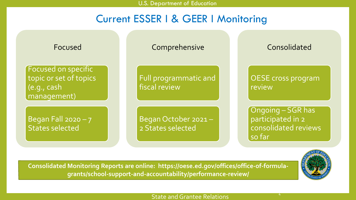### Current ESSER I & GEER I Monitoring



**Consolidated Monitoring Reports are online: https://oese.ed.gov/offices/office-of-formulagrants/school-support-and-accountability/performance-review/** 

4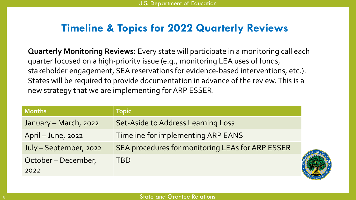### **Timeline & Topics for 2022 Quarterly Reviews**

**Quarterly Monitoring Reviews:** Every state will participate in a monitoring call each quarter focused on a high-priority issue (e.g., monitoring LEA uses of funds, stakeholder engagement, SEA reservations for evidence-based interventions, etc.). States will be required to provide documentation in advance of the review. This is a new strategy that we are implementing for ARP ESSER.

| <b>Months</b>          | <b>Topic</b>                                     |  |
|------------------------|--------------------------------------------------|--|
| January - March, 2022  | Set-Aside to Address Learning Loss               |  |
| April - June, 2022     | Timeline for implementing ARP EANS               |  |
| July - September, 2022 | SEA procedures for monitoring LEAs for ARP ESSER |  |
| October – December,    | TBD                                              |  |
| 2022                   |                                                  |  |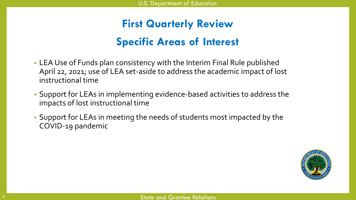# **First Quarterly Review Specific Areas of Interest**

- LEA Use of Funds plan consistency with the Interim Final Rule published April 22, 2021; use of LEA set-aside to address the academic impact of lost instructional time
- Support for LEAs in implementing evidence-based activities to address the impacts of lost instructional time
- Support for LEAs in meeting the needs of students most impacted by the COVID-19 pandemic

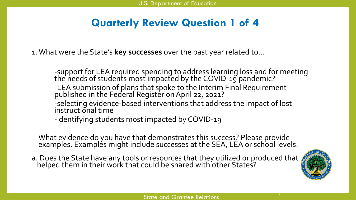# **Quarterly Review Question 1 of 4**

1. What were the State's **key successes** over the past year related to…

-support for LEA required spending to address learning loss and for meeting the needs of students most impacted by the COVID-19 pandemic?  $\,$ -LEA submission of plans that spoke to the Interim Final Requirement published in the Federal Register on April 22, 2021? -selecting evidence-based interventions that address the impact of lost instructional time -identifying students most impacted by COVID-19

What evidence do you have that demonstrates this success? Please provide examples. Examplés might include successes at the SEA, LEA or school levels.

a. Does the State have any tools or resources that they utilized or produced that helped them in their work that could be shared with other States?

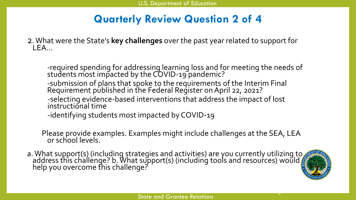## **Quarterly Review Question 2 of 4**

2. What were the State's **key challenges** over the past year related to support for  $IFA...$ 

-required spending for addressing learning loss and for meeting the needs of students most impacted by the COVID-19 pandemic? -submission of plans that spoke to the requirements of the Interim Final Requirement published in the Federal Register on April 22, 2021? -selecting evidence-based interventions that address the impact of lost instructional time

-identifying students most impacted by COVID-19

Please provide examples. Examples might include challenges at the SEA, LEA or school levels.

a. What support(s) (including strategies and activities) are you currently utilizing to address this challenge? b. What support(s) (including tools and resources) would help you overcome this challenge?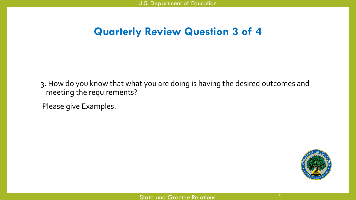### **Quarterly Review Question 3 of 4**

3. How do you know that what you are doing is having the desired outcomes and meeting the requirements?

Please give Examples.

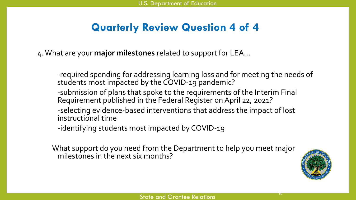# **Quarterly Review Question 4 of 4**

4. What are your **major milestones** related to support for LEA…

-required spending for addressing learning loss and for meeting the needs of students most impacted by the COVID-19 pandemic?

- -submission of plans that spoke to the requirements of the Interim Final Requirement published in the Federal Register on April 22, 2021?
- -selecting evidence-based interventions that address the impact of lost instructional time

-identifying students most impacted by COVID-19

What support do you need from the Department to help you meet major milestones in the next six months?

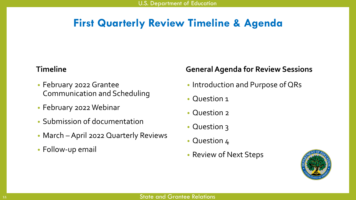### **First Quarterly Review Timeline & Agenda**

#### **Timeline**

- February 2022 Grantee Communication and Scheduling
- February 2022 Webinar
- Submission of documentation
- March April 2022 Quarterly Reviews
- Follow-up email

#### **General Agenda for Review Sessions**

- Introduction and Purpose of QRs
- Question 1
- Question 2
- Question 3
- Question 4
- Review of Next Steps

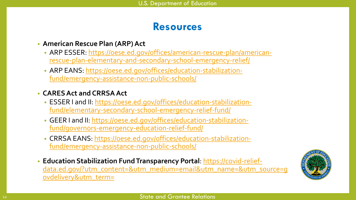### **Resources**

• **American Rescue Plan (ARP) Act**

- [ARP ESSER: https://oese.ed.gov/offices/american-rescue-plan/american](https://oese.ed.gov/offices/american-rescue-plan/american-rescue-plan-elementary-and-secondary-school-emergency-relief/)rescue-plan-elementary-and-secondary-school-emergency-relief/
- [ARP EANS: https://oese.ed.gov/offices/education-stabilization](https://oese.ed.gov/offices/education-stabilization-fund/emergency-assistance-non-public-schools/)fund/emergency-assistance-non-public-schools/

#### • **CARES Act and CRRSA Act**

- [ESSER I and II: https://oese.ed.gov/offices/education-stabilization](https://oese.ed.gov/offices/education-stabilization-fund/elementary-secondary-school-emergency-relief-fund/)fund/elementary-secondary-school-emergency-relief-fund/
- [GEER I and II: https://oese.ed.gov/offices/education-stabilization](https://oese.ed.gov/offices/education-stabilization-fund/governors-emergency-education-relief-fund/)fund/governors-emergency-education-relief-fund/
- [CRRSA EANS: https://oese.ed.gov/offices/education-stabilization](https://oese.ed.gov/offices/education-stabilization-fund/emergency-assistance-non-public-schools/)fund/emergency-assistance-non-public-schools/
- **Education Stabilization Fund Transparency Portal**: https://covid-relief[data.ed.gov/?utm\\_content=&utm\\_medium=email&utm\\_name=&utm\\_source=g](https://covid-relief-data.ed.gov/?utm_content=&utm_medium=email&utm_name=&utm_source=govdelivery&utm_term=) ovdelivery&utm\_term=